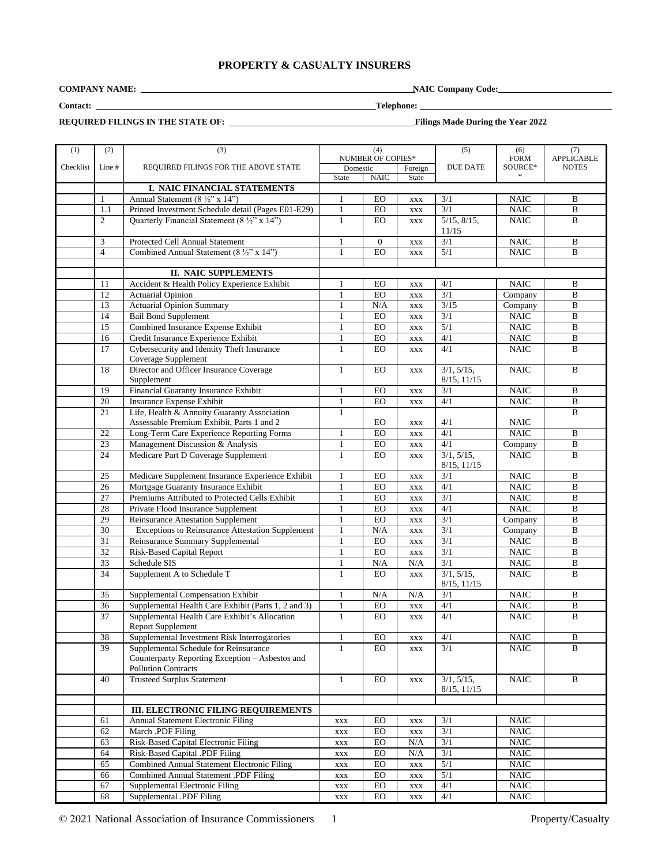# **PROPERTY & CASUALTY INSURERS**

**COMPANY NAME: NAIC Company Code:** 

**Contact: Telephone:** 

**REQUIRED FILINGS IN THE STATE OF:****Filings Made During the Year 2022**

| (1)       | (2)             | (3)                                                     |                          | (4)            |                | (5)               | (6)               | (7)            |
|-----------|-----------------|---------------------------------------------------------|--------------------------|----------------|----------------|-------------------|-------------------|----------------|
|           |                 |                                                         | <b>NUMBER OF COPIES*</b> |                |                | <b>FORM</b>       | <b>APPLICABLE</b> |                |
| Checklist | Line #          | REQUIRED FILINGS FOR THE ABOVE STATE                    | Domestic                 |                | Foreign        | <b>DUE DATE</b>   | SOURCE*           | <b>NOTES</b>   |
|           |                 |                                                         | <b>State</b>             | <b>NAIC</b>    | State          |                   | $\approx$         |                |
|           |                 | I. NAIC FINANCIAL STATEMENTS                            |                          |                |                |                   |                   |                |
|           | $\mathbf{1}$    | Annual Statement (8 1/2" x 14")                         | 1                        | EO             | <b>XXX</b>     | 3/1               | NAIC              | B              |
|           | 1.1             | Printed Investment Schedule detail (Pages E01-E29)      | $\mathbf{1}$             | EO             | <b>XXX</b>     | 3/1               | <b>NAIC</b>       | $\overline{B}$ |
|           | $\overline{c}$  | Quarterly Financial Statement (8 1/2" x 14")            | $\mathbf{1}$             | EO             | <b>XXX</b>     | $5/15$ , $8/15$ , | <b>NAIC</b>       | B              |
|           |                 |                                                         |                          |                |                | 11/15             |                   |                |
|           | 3               | Protected Cell Annual Statement                         | $\mathbf{1}$             | $\overline{0}$ | <b>XXX</b>     | $\overline{3/1}$  | <b>NAIC</b>       | B              |
|           | $\overline{4}$  | Combined Annual Statement (8 1/2" x 14")                | 1                        | EO             | <b>XXX</b>     | 5/1               | <b>NAIC</b>       | B              |
|           |                 |                                                         |                          |                |                |                   |                   |                |
|           |                 | <b>II. NAIC SUPPLEMENTS</b>                             |                          |                |                |                   |                   |                |
|           | 11              | Accident & Health Policy Experience Exhibit             | 1                        | EO             | <b>XXX</b>     | 4/1               | <b>NAIC</b>       | B              |
|           | 12              | <b>Actuarial Opinion</b>                                | $\mathbf{1}$             | EO             | $\mathbf{XXX}$ | $\overline{3/1}$  | Company           | B              |
|           | 13              | <b>Actuarial Opinion Summary</b>                        | 1                        | N/A            | $\mathbf{XXX}$ | 3/15              | Company           | B              |
|           | 14              | <b>Bail Bond Supplement</b>                             | $\mathbf{1}$             | $_{\rm EO}$    | <b>XXX</b>     | 3/1               | <b>NAIC</b>       | $\, {\bf B}$   |
|           | 15              | <b>Combined Insurance Expense Exhibit</b>               | $\mathbf{1}$             | EO             | <b>XXX</b>     | $\overline{5/1}$  | <b>NAIC</b>       | $\bf{B}$       |
|           | 16              | Credit Insurance Experience Exhibit                     | 1                        | EO             | <b>XXX</b>     | 4/1               | <b>NAIC</b>       | B              |
|           | 17              | Cybersecurity and Identity Theft Insurance              | $\mathbf{1}$             | EO             | <b>XXX</b>     | 4/1               | <b>NAIC</b>       | $\bf{B}$       |
|           |                 | Coverage Supplement                                     |                          |                |                |                   |                   |                |
|           | 18              | Director and Officer Insurance Coverage                 | 1                        | EO             | <b>XXX</b>     | 3/1, 5/15,        | <b>NAIC</b>       | $\bf{B}$       |
|           |                 | Supplement                                              |                          |                |                | 8/15, 11/15       |                   |                |
|           | 19              | Financial Guaranty Insurance Exhibit                    | 1                        | EO             | <b>XXX</b>     | $\overline{3/1}$  | <b>NAIC</b>       | B              |
|           | 20              | Insurance Expense Exhibit                               | $\mathbf{1}$             | EO             | <b>XXX</b>     | 4/1               | <b>NAIC</b>       | $\, {\bf B}$   |
|           | $\overline{21}$ | Life, Health & Annuity Guaranty Association             | $\mathbf{1}$             |                |                |                   |                   | B              |
|           |                 | Assessable Premium Exhibit, Parts 1 and 2               |                          | EO             | <b>XXX</b>     | 4/1               | <b>NAIC</b>       |                |
|           | 22              | Long-Term Care Experience Reporting Forms               | $\mathbf{1}$             | EO             | <b>XXX</b>     | 4/1               | <b>NAIC</b>       | B              |
|           | 23              | Management Discussion & Analysis                        | $\mathbf{1}$             | EO             | <b>XXX</b>     | 4/1               | Company           | $\, {\bf B}$   |
|           | 24              | Medicare Part D Coverage Supplement                     | $\mathbf{1}$             | EO             | <b>XXX</b>     | 3/1, 5/15,        | <b>NAIC</b>       | B              |
|           |                 |                                                         |                          |                |                | 8/15, 11/15       |                   |                |
|           | 25              | Medicare Supplement Insurance Experience Exhibit        | 1                        | EO             | <b>XXX</b>     | $3/1$             | <b>NAIC</b>       | B              |
|           | 26              | Mortgage Guaranty Insurance Exhibit                     | $\mathbf{1}$             | EO             | <b>XXX</b>     | 4/1               | <b>NAIC</b>       | $\overline{B}$ |
|           | $\overline{27}$ | Premiums Attributed to Protected Cells Exhibit          | $\mathbf{1}$             | ${\rm EO}$     | <b>XXX</b>     | $\overline{3/1}$  | <b>NAIC</b>       | $\, {\bf B}$   |
|           | 28              | Private Flood Insurance Supplement                      | 1                        | EO             | <b>XXX</b>     | 4/1               | <b>NAIC</b>       | B              |
|           | 29              | Reinsurance Attestation Supplement                      | $\mathbf{1}$             | EO             | <b>XXX</b>     | $\overline{3/1}$  | Company           | $\overline{B}$ |
|           | $\overline{30}$ | <b>Exceptions to Reinsurance Attestation Supplement</b> | $\mathbf{1}$             | N/A            | <b>XXX</b>     | $\overline{3/1}$  | Company           | $\overline{B}$ |
|           | 31              | Reinsurance Summary Supplemental                        | $\mathbf{1}$             | EO             | <b>XXX</b>     | $\overline{3/1}$  | <b>NAIC</b>       | B              |
|           | $\overline{32}$ | Risk-Based Capital Report                               | $\mathbf{1}$             | EO             | <b>XXX</b>     | 3/1               | <b>NAIC</b>       | $\overline{B}$ |
|           | $\overline{33}$ | Schedule SIS                                            | $\mathbf{1}$             | N/A            | N/A            | 3/1               | <b>NAIC</b>       | $\, {\bf B}$   |
|           | 34              | Supplement A to Schedule T                              | $\mathbf{1}$             | $E_O$          | <b>XXX</b>     | 3/1, 5/15,        | NAIC              | B              |
|           |                 |                                                         |                          |                |                | 8/15, 11/15       |                   |                |
|           | 35              | Supplemental Compensation Exhibit                       | $\mathbf{1}$             | N/A            | N/A            | 3/1               | <b>NAIC</b>       | B              |
|           | 36              | Supplemental Health Care Exhibit (Parts 1, 2 and 3)     | $\mathbf{1}$             | EO             | <b>XXX</b>     | 4/1               | <b>NAIC</b>       | $\, {\bf B}$   |
|           | 37              | Supplemental Health Care Exhibit's Allocation           | $\mathbf{1}$             | EO             | <b>XXX</b>     | $\overline{4/1}$  | <b>NAIC</b>       | $\bf{B}$       |
|           |                 | Report Supplement                                       |                          |                |                |                   |                   |                |
|           | 38              | Supplemental Investment Risk Interrogatories            | $\mathbf{1}$             | EO             | $\mathbf{XXX}$ | 4/1               | NAIC              | $\, {\bf B}$   |
|           | 39              | Supplemental Schedule for Reinsurance                   | $\mathbf{1}$             | EO             | <b>XXX</b>     | $\overline{3/1}$  | <b>NAIC</b>       | B              |
|           |                 | Counterparty Reporting Exception – Asbestos and         |                          |                |                |                   |                   |                |
|           |                 | <b>Pollution Contracts</b>                              |                          |                |                |                   |                   |                |
|           | 40              | <b>Trusteed Surplus Statement</b>                       | $\mathbf{1}$             | EO             | <b>XXX</b>     | 3/1, 5/15,        | <b>NAIC</b>       | B              |
|           |                 |                                                         |                          |                |                | 8/15, 11/15       |                   |                |
|           |                 |                                                         |                          |                |                |                   |                   |                |
|           |                 | <b>III. ELECTRONIC FILING REQUIREMENTS</b>              |                          |                |                |                   |                   |                |
|           | 61              | Annual Statement Electronic Filing                      | <b>XXX</b>               | EO             | $\mathbf{XXX}$ | 3/1               | NAIC              |                |
|           | 62              | March .PDF Filing                                       | <b>XXX</b>               | EO             | $\mathbf{XXX}$ | 3/1               | <b>NAIC</b>       |                |
|           | 63              | Risk-Based Capital Electronic Filing                    | XXX                      | EO             | N/A            | 3/1               | <b>NAIC</b>       |                |
|           | 64              | Risk-Based Capital .PDF Filing                          | XXX                      | EO             | N/A            | $\overline{3/1}$  | <b>NAIC</b>       |                |
|           | 65              | Combined Annual Statement Electronic Filing             | <b>XXX</b>               | EO             | <b>XXX</b>     | 5/1               | <b>NAIC</b>       |                |
|           | 66              | Combined Annual Statement .PDF Filing                   | XXX                      | ${\rm EO}$     | $\mathbf{XXX}$ | 5/1               | <b>NAIC</b>       |                |
|           | 67              | Supplemental Electronic Filing                          | <b>XXX</b>               | ${\rm EO}$     | $\mathbf{XXX}$ | 4/1               | <b>NAIC</b>       |                |
|           | 68              | Supplemental .PDF Filing                                | $\mathbf{XXX}$           | EO             | $\mathbf{XXX}$ | 4/1               | <b>NAIC</b>       |                |
|           |                 |                                                         |                          |                |                |                   |                   |                |

© 2021 National Association of Insurance Commissioners 1 Property/Casualty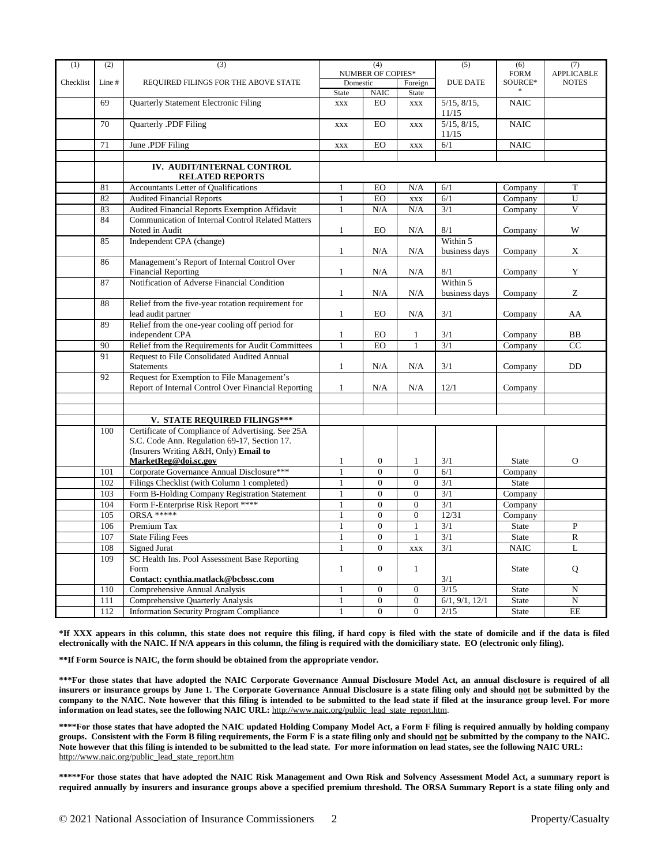| (1)       | (2)        | (3)                                                                   | (4)               |                                  | (5)                            | (6)                     | (7)                     |                         |
|-----------|------------|-----------------------------------------------------------------------|-------------------|----------------------------------|--------------------------------|-------------------------|-------------------------|-------------------------|
|           |            |                                                                       | NUMBER OF COPIES* |                                  |                                | <b>FORM</b>             | <b>APPLICABLE</b>       |                         |
| Checklist | Line#      | REQUIRED FILINGS FOR THE ABOVE STATE                                  | Domestic          |                                  | Foreign                        | <b>DUE DATE</b>         | SOURCE*                 | <b>NOTES</b>            |
|           | 69         | Quarterly Statement Electronic Filing                                 | State             | NAIC<br>EO                       | <b>State</b>                   | $5/15$ , $8/15$ ,       | <b>NAIC</b>             |                         |
|           |            |                                                                       | <b>XXX</b>        |                                  | <b>XXX</b>                     | 11/15                   |                         |                         |
|           | 70         | Quarterly .PDF Filing                                                 | <b>XXX</b>        | EO                               | <b>XXX</b>                     | $5/15$ , $8/15$ ,       | <b>NAIC</b>             |                         |
|           |            |                                                                       |                   |                                  |                                | 11/15                   |                         |                         |
|           | 71         | June .PDF Filing                                                      | <b>XXX</b>        | EO                               | <b>XXX</b>                     | 6/1                     | <b>NAIC</b>             |                         |
|           |            |                                                                       |                   |                                  |                                |                         |                         |                         |
|           |            | IV. AUDIT/INTERNAL CONTROL                                            |                   |                                  |                                |                         |                         |                         |
|           | 81         | <b>RELATED REPORTS</b><br><b>Accountants Letter of Qualifications</b> | $\mathbf{1}$      | EO                               | N/A                            | 6/1                     | Company                 | T                       |
|           | 82         | <b>Audited Financial Reports</b>                                      | $\mathbf{1}$      | EO                               | <b>XXX</b>                     | 6/1                     | Company                 | U                       |
|           | 83         | Audited Financial Reports Exemption Affidavit                         | $\mathbf{1}$      | N/A                              | N/A                            | 3/1                     | Company                 | $\overline{\mathbf{V}}$ |
|           | 84         | <b>Communication of Internal Control Related Matters</b>              |                   |                                  |                                |                         |                         |                         |
|           |            | Noted in Audit                                                        | $\mathbf{1}$      | EO                               | N/A                            | 8/1                     | Company                 | W                       |
|           | 85         | Independent CPA (change)                                              |                   |                                  |                                | Within 5                |                         |                         |
|           |            |                                                                       | $\mathbf{1}$      | N/A                              | N/A                            | business days           | Company                 | X                       |
|           | 86         | Management's Report of Internal Control Over                          |                   |                                  |                                |                         |                         |                         |
|           |            | <b>Financial Reporting</b>                                            | $\mathbf{1}$      | N/A                              | N/A                            | 8/1                     | Company                 | Y                       |
|           | 87         | Notification of Adverse Financial Condition                           |                   |                                  |                                | Within 5                |                         |                         |
|           |            |                                                                       | $\mathbf{1}$      | N/A                              | N/A                            | business days           | Company                 | Z                       |
|           | 88         | Relief from the five-year rotation requirement for                    |                   |                                  |                                |                         |                         |                         |
|           | 89         | lead audit partner<br>Relief from the one-year cooling off period for | $\mathbf{1}$      | EO                               | N/A                            | 3/1                     | Company                 | AA                      |
|           |            | independent CPA                                                       | $\mathbf{1}$      | EO                               | $\mathbf{1}$                   | 3/1                     | Company                 | <b>BB</b>               |
|           | 90         | Relief from the Requirements for Audit Committees                     | $\overline{1}$    | EO                               | $\overline{1}$                 | $\overline{3/1}$        | Company                 | CC                      |
|           | 91         | <b>Request to File Consolidated Audited Annual</b>                    |                   |                                  |                                |                         |                         |                         |
|           |            | <b>Statements</b>                                                     | $\mathbf{1}$      | N/A                              | N/A                            | 3/1                     | Company                 | DD                      |
|           | 92         | Request for Exemption to File Management's                            |                   |                                  |                                |                         |                         |                         |
|           |            | Report of Internal Control Over Financial Reporting                   | $\mathbf{1}$      | N/A                              | N/A                            | 12/1                    | Company                 |                         |
|           |            |                                                                       |                   |                                  |                                |                         |                         |                         |
|           |            |                                                                       |                   |                                  |                                |                         |                         |                         |
|           |            | V. STATE REQUIRED FILINGS***                                          |                   |                                  |                                |                         |                         |                         |
|           | 100        | Certificate of Compliance of Advertising. See 25A                     |                   |                                  |                                |                         |                         |                         |
|           |            | S.C. Code Ann. Regulation 69-17, Section 17.                          |                   |                                  |                                |                         |                         |                         |
|           |            | (Insurers Writing A&H, Only) Email to                                 |                   |                                  |                                |                         |                         |                         |
|           |            | MarketReg@doi.sc.gov<br>Corporate Governance Annual Disclosure***     | 1<br>$\mathbf{1}$ | $\overline{0}$<br>$\overline{0}$ | $\mathbf{1}$<br>$\overline{0}$ | 3/1<br>$\overline{6/1}$ | <b>State</b>            | $\overline{O}$          |
|           | 101<br>102 | Filings Checklist (with Column 1 completed)                           | $\mathbf{1}$      | $\overline{0}$                   | $\overline{0}$                 | 3/1                     | Company<br><b>State</b> |                         |
|           | 103        | Form B-Holding Company Registration Statement                         | $\mathbf{1}$      | $\overline{0}$                   | $\overline{0}$                 | 3/1                     | Company                 |                         |
|           | 104        | Form F-Enterprise Risk Report ****                                    | $\mathbf{1}$      | $\overline{0}$                   | $\overline{0}$                 | $\overline{3/1}$        | Company                 |                         |
|           | 105        | <b>ORSA *****</b>                                                     | $\mathbf{1}$      | $\overline{0}$                   | $\boldsymbol{0}$               | 12/31                   | Company                 |                         |
|           | 106        | Premium Tax                                                           | 1                 | $\overline{0}$                   | $\mathbf{1}$                   | 3/1                     | <b>State</b>            | $\mathbf{P}$            |
|           | 107        | <b>State Filing Fees</b>                                              | $\mathbf{1}$      | $\overline{0}$                   | $\mathbf{1}$                   | 3/1                     | <b>State</b>            | $\mathbb{R}$            |
|           | 108        | <b>Signed Jurat</b>                                                   | $\mathbf{1}$      | $\overline{0}$                   | <b>XXX</b>                     | 3/1                     | <b>NAIC</b>             | L                       |
|           | 109        | SC Health Ins. Pool Assessment Base Reporting                         |                   |                                  |                                |                         |                         |                         |
|           |            | Form                                                                  | $\mathbf{1}$      | $\overline{0}$                   | $\mathbf{1}$                   |                         | <b>State</b>            | Q                       |
|           |            | Contact: cynthia.matlack@bcbssc.com                                   |                   |                                  |                                | 3/1                     |                         |                         |
|           | 110        | <b>Comprehensive Annual Analysis</b>                                  | 1                 | $\overline{0}$                   | $\overline{0}$                 | $\frac{3}{15}$          | <b>State</b>            | N                       |
|           | 111        | Comprehensive Quarterly Analysis                                      | $\mathbf{1}$      | $\overline{0}$                   | $\overline{0}$                 | 6/1, 9/1, 12/1          | <b>State</b>            | N                       |
|           | 112        | <b>Information Security Program Compliance</b>                        | 1                 | $\overline{0}$                   | $\overline{0}$                 | $\overline{2/15}$       | <b>State</b>            | EE                      |

\*If XXX appears in this column, this state does not require this filing, if hard copy is filed with the state of domicile and if the data is filed **electronically with the NAIC. If N/A appears in this column, the filing is required with the domiciliary state. EO (electronic only filing).**

**\*\*If Form Source is NAIC, the form should be obtained from the appropriate vendor.**

\*\*\*For those states that have adopted the NAIC Corporate Governance Annual Disclosure Model Act, an annual disclosure is required of all insurers or insurance groups by June 1. The Corporate Governance Annual Disclosure is a state filing only and should not be submitted by the company to the NAIC. Note however that this filing is intended to be submitted to the lead state if filed at the insurance group level. For more **information on lead states, see the following NAIC URL:** [http://www.naic.org/public\\_lead\\_state\\_report.htm](http://www.naic.org/public_lead_state_report.htm).

\*\*\*\*For those states that have adopted the NAIC updated Holding Company Model Act, a Form F filing is required annually by holding company groups. Consistent with the Form B filing requirements, the Form F is a state filing only and should not be submitted by the company to the NAIC. **Note however that this filing is intended to be submitted to the lead state. For more information on lead states, see the following NAIC URL:** [http://www.naic.org/public\\_lead\\_state\\_report.htm](http://www.naic.org/public_lead_state_report.htm)

\*\*\*\*\*For those states that have adopted the NAIC Risk Management and Own Risk and Solvency Assessment Model Act, a summary report is required annually by insurers and insurance groups above a specified premium threshold. The ORSA Summary Report is a state filing only and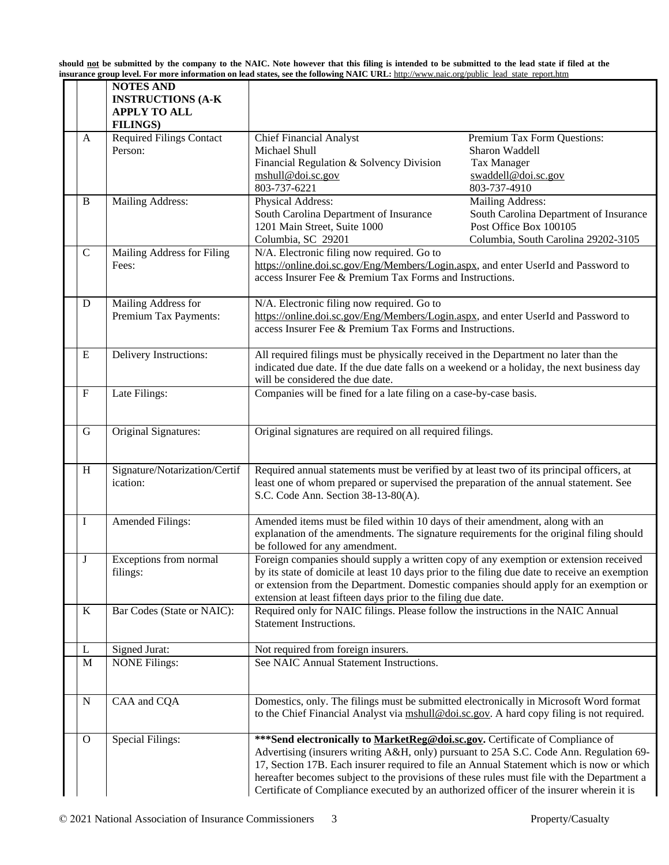should <u>not</u> be submitted by the company to the NAIC. Note however that this filing is intended to be submitted to the lead state if filed at the **insurance group level. For more information on lead states, see the following NAIC URL:** [http://www.naic.org/public\\_lead\\_state\\_report.htm](http://www.naic.org/public_lead_state_report.htm)

|              | <b>NOTES AND</b><br><b>INSTRUCTIONS (A-K</b><br><b>APPLY TO ALL</b><br><b>FILINGS</b> ) |                                                                                                                                                                                                                                                                                                                                                                                                                                                               |                                                                                                                             |  |
|--------------|-----------------------------------------------------------------------------------------|---------------------------------------------------------------------------------------------------------------------------------------------------------------------------------------------------------------------------------------------------------------------------------------------------------------------------------------------------------------------------------------------------------------------------------------------------------------|-----------------------------------------------------------------------------------------------------------------------------|--|
| A            | Required Filings Contact<br>Person:                                                     | <b>Chief Financial Analyst</b><br>Michael Shull<br>Financial Regulation & Solvency Division<br>mshull@doi.sc.gov<br>803-737-6221                                                                                                                                                                                                                                                                                                                              | Premium Tax Form Questions:<br>Sharon Waddell<br><b>Tax Manager</b><br>swaddell@doi.sc.gov<br>803-737-4910                  |  |
| B            | Mailing Address:                                                                        | Physical Address:<br>South Carolina Department of Insurance<br>1201 Main Street, Suite 1000<br>Columbia, SC 29201                                                                                                                                                                                                                                                                                                                                             | Mailing Address:<br>South Carolina Department of Insurance<br>Post Office Box 100105<br>Columbia, South Carolina 29202-3105 |  |
| $\mathbf C$  | Mailing Address for Filing<br>Fees:                                                     | N/A. Electronic filing now required. Go to<br>https://online.doi.sc.gov/Eng/Members/Login.aspx, and enter UserId and Password to<br>access Insurer Fee & Premium Tax Forms and Instructions.                                                                                                                                                                                                                                                                  |                                                                                                                             |  |
| D            | Mailing Address for<br>Premium Tax Payments:                                            | N/A. Electronic filing now required. Go to<br>https://online.doi.sc.gov/Eng/Members/Login.aspx, and enter UserId and Password to<br>access Insurer Fee & Premium Tax Forms and Instructions.                                                                                                                                                                                                                                                                  |                                                                                                                             |  |
| E            | Delivery Instructions:                                                                  | All required filings must be physically received in the Department no later than the<br>indicated due date. If the due date falls on a weekend or a holiday, the next business day<br>will be considered the due date.                                                                                                                                                                                                                                        |                                                                                                                             |  |
| $\mathbf F$  | Late Filings:                                                                           | Companies will be fined for a late filing on a case-by-case basis.                                                                                                                                                                                                                                                                                                                                                                                            |                                                                                                                             |  |
| G            | Original Signatures:                                                                    | Original signatures are required on all required filings.                                                                                                                                                                                                                                                                                                                                                                                                     |                                                                                                                             |  |
| H            | Signature/Notarization/Certif<br>ication:                                               | Required annual statements must be verified by at least two of its principal officers, at<br>least one of whom prepared or supervised the preparation of the annual statement. See<br>S.C. Code Ann. Section 38-13-80(A).                                                                                                                                                                                                                                     |                                                                                                                             |  |
| I            | <b>Amended Filings:</b>                                                                 | Amended items must be filed within 10 days of their amendment, along with an<br>explanation of the amendments. The signature requirements for the original filing should<br>be followed for any amendment.                                                                                                                                                                                                                                                    |                                                                                                                             |  |
| J            | Exceptions from normal<br>filings:                                                      | Foreign companies should supply a written copy of any exemption or extension received<br>by its state of domicile at least 10 days prior to the filing due date to receive an exemption<br>or extension from the Department. Domestic companies should apply for an exemption or<br>extension at least fifteen days prior to the filing due date.                                                                                                             |                                                                                                                             |  |
| K            | Bar Codes (State or NAIC):                                                              | Required only for NAIC filings. Please follow the instructions in the NAIC Annual<br>Statement Instructions.                                                                                                                                                                                                                                                                                                                                                  |                                                                                                                             |  |
| L            | Signed Jurat:                                                                           | Not required from foreign insurers.                                                                                                                                                                                                                                                                                                                                                                                                                           |                                                                                                                             |  |
| M            | <b>NONE Filings:</b>                                                                    | See NAIC Annual Statement Instructions.                                                                                                                                                                                                                                                                                                                                                                                                                       |                                                                                                                             |  |
| ${\bf N}$    | CAA and CQA                                                                             | Domestics, only. The filings must be submitted electronically in Microsoft Word format<br>to the Chief Financial Analyst via mshull@doi.sc.gov. A hard copy filing is not required.                                                                                                                                                                                                                                                                           |                                                                                                                             |  |
| $\mathbf{O}$ | <b>Special Filings:</b>                                                                 | *** Send electronically to MarketReg@doi.sc.gov. Certificate of Compliance of<br>Advertising (insurers writing A&H, only) pursuant to 25A S.C. Code Ann. Regulation 69-<br>17, Section 17B. Each insurer required to file an Annual Statement which is now or which<br>hereafter becomes subject to the provisions of these rules must file with the Department a<br>Certificate of Compliance executed by an authorized officer of the insurer wherein it is |                                                                                                                             |  |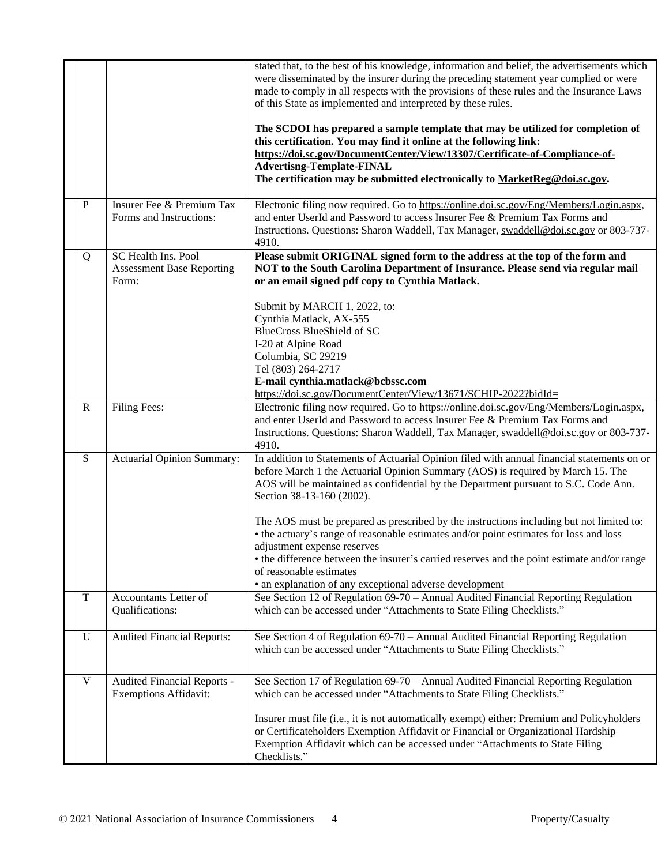|              |                                                                  | stated that, to the best of his knowledge, information and belief, the advertisements which<br>were disseminated by the insurer during the preceding statement year complied or were<br>made to comply in all respects with the provisions of these rules and the Insurance Laws<br>of this State as implemented and interpreted by these rules.<br>The SCDOI has prepared a sample template that may be utilized for completion of<br>this certification. You may find it online at the following link:<br>https://doi.sc.gov/DocumentCenter/View/13307/Certificate-of-Compliance-of-<br><b>Advertisng-Template-FINAL</b><br>The certification may be submitted electronically to MarketReg@doi.sc.gov.     |
|--------------|------------------------------------------------------------------|--------------------------------------------------------------------------------------------------------------------------------------------------------------------------------------------------------------------------------------------------------------------------------------------------------------------------------------------------------------------------------------------------------------------------------------------------------------------------------------------------------------------------------------------------------------------------------------------------------------------------------------------------------------------------------------------------------------|
| P            | Insurer Fee & Premium Tax<br>Forms and Instructions:             | Electronic filing now required. Go to https://online.doi.sc.gov/Eng/Members/Login.aspx,<br>and enter UserId and Password to access Insurer Fee & Premium Tax Forms and<br>Instructions. Questions: Sharon Waddell, Tax Manager, swaddell@doi.sc.gov or 803-737-<br>4910.                                                                                                                                                                                                                                                                                                                                                                                                                                     |
| Q            | SC Health Ins. Pool<br><b>Assessment Base Reporting</b><br>Form: | Please submit ORIGINAL signed form to the address at the top of the form and<br>NOT to the South Carolina Department of Insurance. Please send via regular mail<br>or an email signed pdf copy to Cynthia Matlack.<br>Submit by MARCH 1, 2022, to:<br>Cynthia Matlack, AX-555<br><b>BlueCross BlueShield of SC</b><br>I-20 at Alpine Road<br>Columbia, SC 29219<br>Tel (803) 264-2717<br>E-mail cynthia.matlack@bcbssc.com<br>https://doi.sc.gov/DocumentCenter/View/13671/SCHIP-2022?bidId=                                                                                                                                                                                                                 |
| $\mathbb{R}$ | Filing Fees:                                                     | Electronic filing now required. Go to https://online.doi.sc.gov/Eng/Members/Login.aspx,<br>and enter UserId and Password to access Insurer Fee & Premium Tax Forms and<br>Instructions. Questions: Sharon Waddell, Tax Manager, swaddell@doi.sc.gov or 803-737-<br>4910.                                                                                                                                                                                                                                                                                                                                                                                                                                     |
| S            | Actuarial Opinion Summary:                                       | In addition to Statements of Actuarial Opinion filed with annual financial statements on or<br>before March 1 the Actuarial Opinion Summary (AOS) is required by March 15. The<br>AOS will be maintained as confidential by the Department pursuant to S.C. Code Ann.<br>Section 38-13-160 (2002).<br>The AOS must be prepared as prescribed by the instructions including but not limited to:<br>• the actuary's range of reasonable estimates and/or point estimates for loss and loss<br>adjustment expense reserves<br>• the difference between the insurer's carried reserves and the point estimate and/or range<br>of reasonable estimates<br>• an explanation of any exceptional adverse development |
| T            | Accountants Letter of<br>Qualifications:                         | See Section 12 of Regulation 69-70 - Annual Audited Financial Reporting Regulation<br>which can be accessed under "Attachments to State Filing Checklists."                                                                                                                                                                                                                                                                                                                                                                                                                                                                                                                                                  |
| U            | <b>Audited Financial Reports:</b>                                | See Section 4 of Regulation 69-70 – Annual Audited Financial Reporting Regulation<br>which can be accessed under "Attachments to State Filing Checklists."                                                                                                                                                                                                                                                                                                                                                                                                                                                                                                                                                   |
| V            | Audited Financial Reports -<br><b>Exemptions Affidavit:</b>      | See Section 17 of Regulation 69-70 - Annual Audited Financial Reporting Regulation<br>which can be accessed under "Attachments to State Filing Checklists."<br>Insurer must file (i.e., it is not automatically exempt) either: Premium and Policyholders<br>or Certificateholders Exemption Affidavit or Financial or Organizational Hardship<br>Exemption Affidavit which can be accessed under "Attachments to State Filing<br>Checklists."                                                                                                                                                                                                                                                               |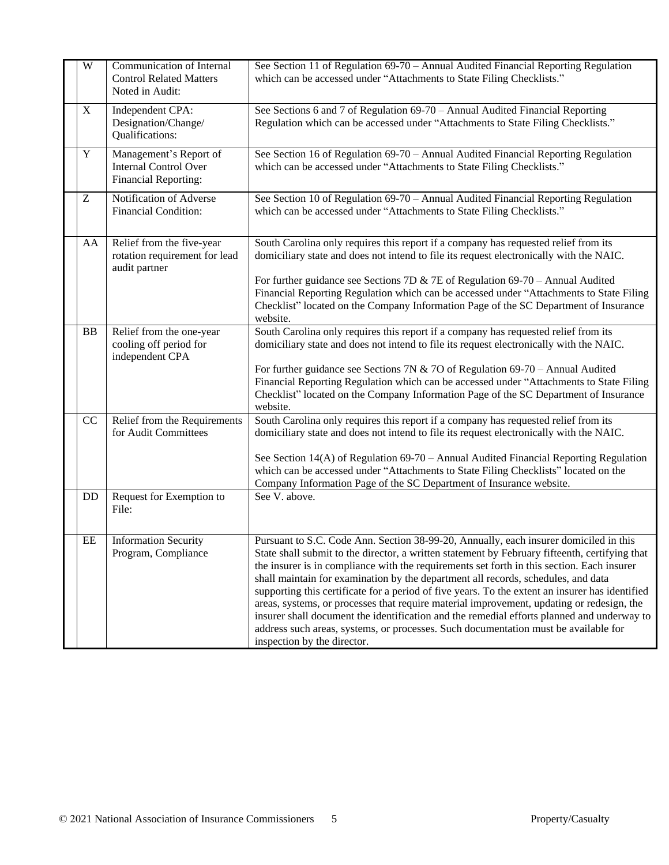| $\overline{W}$ | <b>Communication of Internal</b><br><b>Control Related Matters</b><br>Noted in Audit: | See Section 11 of Regulation 69-70 - Annual Audited Financial Reporting Regulation<br>which can be accessed under "Attachments to State Filing Checklists."                                                                                                                                                                                                                                                                                                                                                                                                                                                                                                                                                                                                                                    |
|----------------|---------------------------------------------------------------------------------------|------------------------------------------------------------------------------------------------------------------------------------------------------------------------------------------------------------------------------------------------------------------------------------------------------------------------------------------------------------------------------------------------------------------------------------------------------------------------------------------------------------------------------------------------------------------------------------------------------------------------------------------------------------------------------------------------------------------------------------------------------------------------------------------------|
| X              | Independent CPA:<br>Designation/Change/<br>Qualifications:                            | See Sections 6 and 7 of Regulation 69-70 - Annual Audited Financial Reporting<br>Regulation which can be accessed under "Attachments to State Filing Checklists."                                                                                                                                                                                                                                                                                                                                                                                                                                                                                                                                                                                                                              |
| $\mathbf Y$    | Management's Report of<br><b>Internal Control Over</b><br>Financial Reporting:        | See Section 16 of Regulation 69-70 - Annual Audited Financial Reporting Regulation<br>which can be accessed under "Attachments to State Filing Checklists."                                                                                                                                                                                                                                                                                                                                                                                                                                                                                                                                                                                                                                    |
| Z              | Notification of Adverse<br><b>Financial Condition:</b>                                | See Section 10 of Regulation 69-70 – Annual Audited Financial Reporting Regulation<br>which can be accessed under "Attachments to State Filing Checklists."                                                                                                                                                                                                                                                                                                                                                                                                                                                                                                                                                                                                                                    |
| AA             | Relief from the five-year<br>rotation requirement for lead<br>audit partner           | South Carolina only requires this report if a company has requested relief from its<br>domiciliary state and does not intend to file its request electronically with the NAIC.<br>For further guidance see Sections 7D & 7E of Regulation $69-70$ – Annual Audited<br>Financial Reporting Regulation which can be accessed under "Attachments to State Filing<br>Checklist" located on the Company Information Page of the SC Department of Insurance<br>website.                                                                                                                                                                                                                                                                                                                              |
| BB             | Relief from the one-year<br>cooling off period for<br>independent CPA                 | South Carolina only requires this report if a company has requested relief from its<br>domiciliary state and does not intend to file its request electronically with the NAIC.<br>For further guidance see Sections 7N & 7O of Regulation $69-70$ – Annual Audited<br>Financial Reporting Regulation which can be accessed under "Attachments to State Filing<br>Checklist" located on the Company Information Page of the SC Department of Insurance<br>website.                                                                                                                                                                                                                                                                                                                              |
| CC<br>DD       | Relief from the Requirements<br>for Audit Committees<br>Request for Exemption to      | South Carolina only requires this report if a company has requested relief from its<br>domiciliary state and does not intend to file its request electronically with the NAIC.<br>See Section 14(A) of Regulation 69-70 - Annual Audited Financial Reporting Regulation<br>which can be accessed under "Attachments to State Filing Checklists" located on the<br>Company Information Page of the SC Department of Insurance website.<br>See V. above.                                                                                                                                                                                                                                                                                                                                         |
|                | File:                                                                                 |                                                                                                                                                                                                                                                                                                                                                                                                                                                                                                                                                                                                                                                                                                                                                                                                |
| EE             | <b>Information Security</b><br>Program, Compliance                                    | Pursuant to S.C. Code Ann. Section 38-99-20, Annually, each insurer domiciled in this<br>State shall submit to the director, a written statement by February fifteenth, certifying that<br>the insurer is in compliance with the requirements set forth in this section. Each insurer<br>shall maintain for examination by the department all records, schedules, and data<br>supporting this certificate for a period of five years. To the extent an insurer has identified<br>areas, systems, or processes that require material improvement, updating or redesign, the<br>insurer shall document the identification and the remedial efforts planned and underway to<br>address such areas, systems, or processes. Such documentation must be available for<br>inspection by the director. |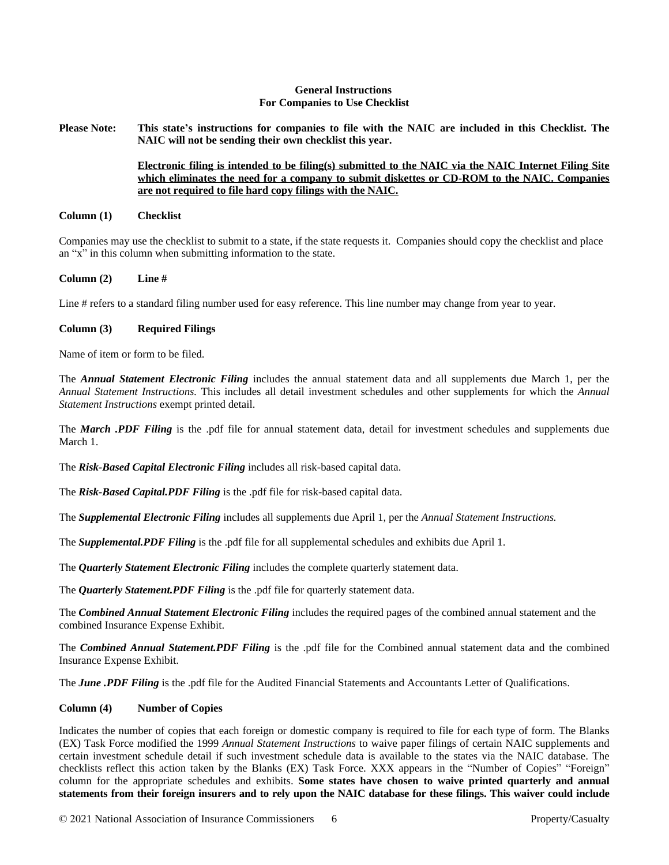## **General Instructions For Companies to Use Checklist**

Please Note: This state's instructions for companies to file with the NAIC are included in this Checklist. The **NAIC will not be sending their own checklist this year.**

## **Electronic filing is intended to be filing(s) submitted to the NAIC via the NAIC Internet Filing Site which eliminates the need for a company to submit diskettes or CD-ROM to the NAIC. Companies are not required to file hard copy filings with the NAIC.**

#### **Column (1) Checklist**

Companies may use the checklist to submit to a state, if the state requests it. Companies should copy the checklist and place an "x" in this column when submitting information to the state.

#### **Column (2) Line #**

Line # refers to a standard filing number used for easy reference. This line number may change from year to year.

#### **Column (3) Required Filings**

Name of item or form to be filed.

The *Annual Statement Electronic Filing* includes the annual statement data and all supplements due March 1, per the *Annual Statement Instructions.* This includes all detail investment schedules and other supplements for which the *Annual Statement Instructions* exempt printed detail.

The *March .PDF Filing* is the .pdf file for annual statement data, detail for investment schedules and supplements due March 1.

The *Risk-Based Capital Electronic Filing* includes all risk-based capital data.

The *Risk-Based Capital.PDF Filing* is the .pdf file for risk-based capital data.

The *Supplemental Electronic Filing* includes all supplements due April 1, per the *Annual Statement Instructions.*

The *Supplemental.PDF Filing* is the .pdf file for all supplemental schedules and exhibits due April 1.

The *Quarterly Statement Electronic Filing* includes the complete quarterly statement data.

The *Quarterly Statement.PDF Filing* is the .pdf file for quarterly statement data.

The *Combined Annual Statement Electronic Filing* includes the required pages of the combined annual statement and the combined Insurance Expense Exhibit.

The *Combined Annual Statement.PDF Filing* is the .pdf file for the Combined annual statement data and the combined Insurance Expense Exhibit.

The *June .PDF Filing* is the .pdf file for the Audited Financial Statements and Accountants Letter of Qualifications.

# **Column (4) Number of Copies**

Indicates the number of copies that each foreign or domestic company is required to file for each type of form. The Blanks (EX) Task Force modified the 1999 *Annual Statement Instructions* to waive paper filings of certain NAIC supplements and certain investment schedule detail if such investment schedule data is available to the states via the NAIC database. The checklists reflect this action taken by the Blanks (EX) Task Force. XXX appears in the "Number of Copies" "Foreign" column for the appropriate schedules and exhibits. **Some states have chosen to waive printed quarterly and annual** statements from their foreign insurers and to rely upon the NAIC database for these filings. This waiver could include